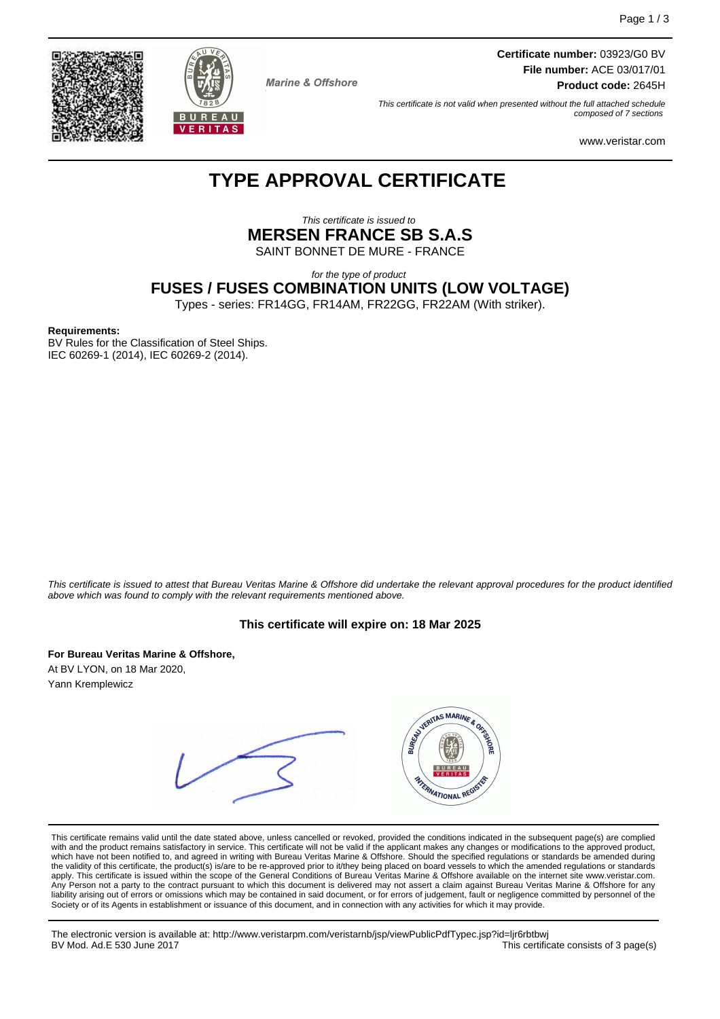**Certificate number:** 03923/G0 BV **File number:** ACE 03/017/01 **Product code:** 2645H

This certificate is not valid when presented without the full attached schedule composed of 7 sections

www.veristar.com

# **TYPE APPROVAL CERTIFICATE**

**Marine & Offshore** 

This certificate is issued to **MERSEN FRANCE SB S.A.S** SAINT BONNET DE MURE - FRANCE

for the type of product

**FUSES / FUSES COMBINATION UNITS (LOW VOLTAGE)**

Types - series: FR14GG, FR14AM, FR22GG, FR22AM (With striker).

#### **Requirements:**

BV Rules for the Classification of Steel Ships. IEC 60269-1 (2014), IEC 60269-2 (2014).

This certificate is issued to attest that Bureau Veritas Marine & Offshore did undertake the relevant approval procedures for the product identified above which was found to comply with the relevant requirements mentioned above.

#### **This certificate will expire on: 18 Mar 2025**

**For Bureau Veritas Marine & Offshore,**

At BV LYON, on 18 Mar 2020, Yann Kremplewicz



This certificate remains valid until the date stated above, unless cancelled or revoked, provided the conditions indicated in the subsequent page(s) are complied with and the product remains satisfactory in service. This certificate will not be valid if the applicant makes any changes or modifications to the approved product, which have not been notified to, and agreed in writing with Bureau Veritas Marine & Offshore. Should the specified regulations or standards be amended during<br>the validity of this certificate, the product(s) is/are to be re apply. This certificate is issued within the scope of the General Conditions of Bureau Veritas Marine & Offshore available on the internet site www.veristar.com. Any Person not a party to the contract pursuant to which this document is delivered may not assert a claim against Bureau Veritas Marine & Offshore for any liability arising out of errors or omissions which may be contained in said document, or for errors of judgement, fault or negligence committed by personnel of the<br>Society or of its Agents in establishment or issuance of t

The electronic version is available at: http://www.veristarpm.com/veristarnb/jsp/viewPublicPdfTypec.jsp?id=ljr6rbtbwj BV Mod. Ad.E 530 June 2017 **This certificate consists of 3 page(s) BV Mod. Ad.E 530 June 2017** 



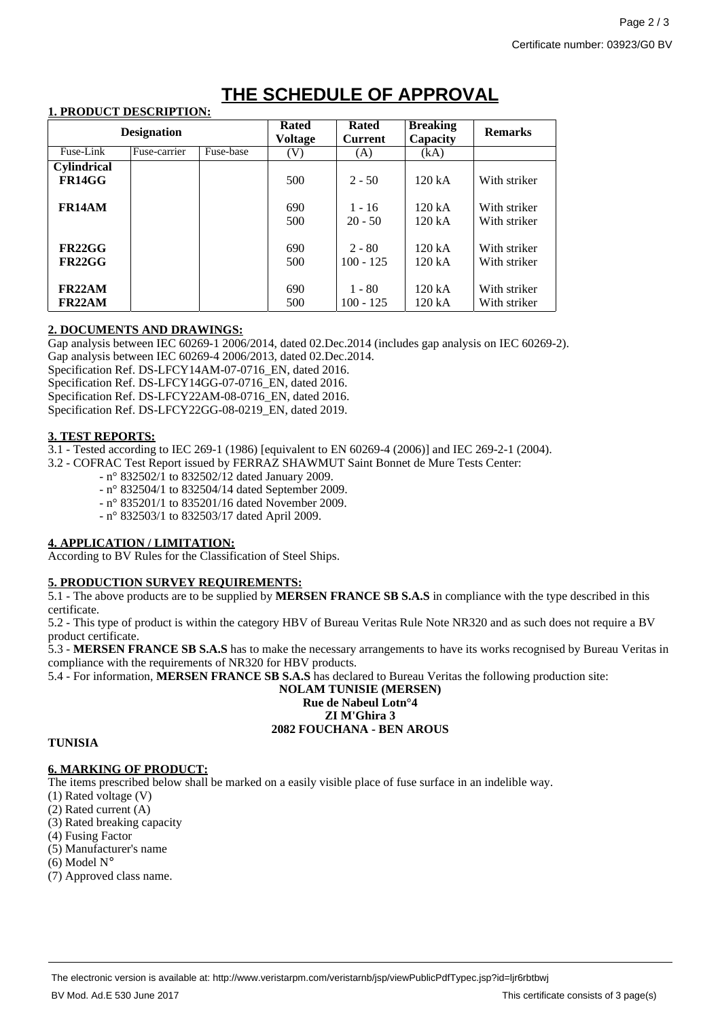# **THE SCHEDULE OF APPROVAL**

#### **1. PRODUCT DESCRIPTION:**

| <b>Designation</b>            |              |           | <b>Rated</b><br><b>Voltage</b> | <b>Rated</b><br><b>Current</b> | <b>Breaking</b><br>Capacity | <b>Remarks</b>               |
|-------------------------------|--------------|-----------|--------------------------------|--------------------------------|-----------------------------|------------------------------|
| Fuse-Link                     | Fuse-carrier | Fuse-base | (V)                            | (A)                            | (kA)                        |                              |
| <b>Cylindrical</b><br>FR14GG  |              |           | 500                            | $2 - 50$                       | 120 kA                      | With striker                 |
| FR14AM                        |              |           | 690<br>500                     | $1 - 16$<br>$20 - 50$          | 120 kA<br>120 kA            | With striker<br>With striker |
| FR22GG<br>FR22GG              |              |           | 690<br>500                     | $2 - 80$<br>$100 - 125$        | 120 kA<br>120 kA            | With striker<br>With striker |
| FR22AM<br>FR <sub>22</sub> AM |              |           | 690<br>500                     | $1 - 80$<br>$100 - 125$        | 120 kA<br>120 kA            | With striker<br>With striker |

### **2. DOCUMENTS AND DRAWINGS:**

Gap analysis between IEC 60269-1 2006/2014, dated 02.Dec.2014 (includes gap analysis on IEC 60269-2).

Gap analysis between IEC 60269-4 2006/2013, dated 02.Dec.2014.

Specification Ref. DS-LFCY14AM-07-0716 EN, dated 2016.

Specification Ref. DS-LFCY14GG-07-0716 EN, dated 2016. Specification Ref. DS-LFCY22AM-08-0716 EN, dated 2016.

Specification Ref. DS-LFCY22GG-08-0219\_EN, dated 2019.

### **3. TEST REPORTS:**

3.1 - Tested according to IEC 269-1 (1986) [equivalent to EN 60269-4 (2006)] and IEC 269-2-1 (2004).

3.2 - COFRAC Test Report issued by FERRAZ SHAWMUT Saint Bonnet de Mure Tests Center:

- n° 832502/1 to 832502/12 dated January 2009.
- n° 832504/1 to 832504/14 dated September 2009.
- n° 835201/1 to 835201/16 dated November 2009.
- n° 832503/1 to 832503/17 dated April 2009.

### **4. APPLICATION / LIMITATION:**

According to BV Rules for the Classification of Steel Ships.

### **5. PRODUCTION SURVEY REQUIREMENTS:**

5.1 - The above products are to be supplied by **MERSEN FRANCE SB S.A.S** in compliance with the type described in this certificate.

5.2 - This type of product is within the category HBV of Bureau Veritas Rule Note NR320 and as such does not require a BV product certificate.

5.3 - **MERSEN FRANCE SB S.A.S** has to make the necessary arrangements to have its works recognised by Bureau Veritas in compliance with the requirements of NR320 for HBV products.

5.4 - For information, **MERSEN FRANCE SB S.A.S** has declared to Bureau Veritas the following production site:

#### **NOLAM TUNISIE (MERSEN) Rue de Nabeul Lotn°4 ZI M'Ghira 3**

# **2082 FOUCHANA - BEN AROUS**

### **TUNISIA**

## **6. MARKING OF PRODUCT:**

The items prescribed below shall be marked on a easily visible place of fuse surface in an indelible way.

- (1) Rated voltage (V)
- (2) Rated current (A)
- (3) Rated breaking capacity
- (4) Fusing Factor
- (5) Manufacturer's name
- $(6)$  Model  $N^{\circ}$
- (7) Approved class name.